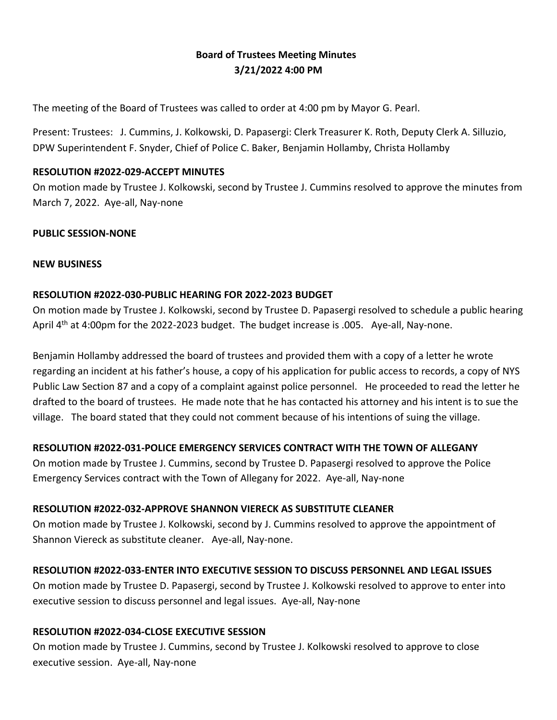# **Board of Trustees Meeting Minutes 3/21/2022 4:00 PM**

The meeting of the Board of Trustees was called to order at 4:00 pm by Mayor G. Pearl.

Present: Trustees: J. Cummins, J. Kolkowski, D. Papasergi: Clerk Treasurer K. Roth, Deputy Clerk A. Silluzio, DPW Superintendent F. Snyder, Chief of Police C. Baker, Benjamin Hollamby, Christa Hollamby

#### **RESOLUTION #2022-029-ACCEPT MINUTES**

On motion made by Trustee J. Kolkowski, second by Trustee J. Cummins resolved to approve the minutes from March 7, 2022. Aye-all, Nay-none

#### **PUBLIC SESSION-NONE**

#### **NEW BUSINESS**

# **RESOLUTION #2022-030-PUBLIC HEARING FOR 2022-2023 BUDGET**

On motion made by Trustee J. Kolkowski, second by Trustee D. Papasergi resolved to schedule a public hearing April 4<sup>th</sup> at 4:00pm for the 2022-2023 budget. The budget increase is .005. Aye-all, Nay-none.

Benjamin Hollamby addressed the board of trustees and provided them with a copy of a letter he wrote regarding an incident at his father's house, a copy of his application for public access to records, a copy of NYS Public Law Section 87 and a copy of a complaint against police personnel. He proceeded to read the letter he drafted to the board of trustees. He made note that he has contacted his attorney and his intent is to sue the village. The board stated that they could not comment because of his intentions of suing the village.

# **RESOLUTION #2022-031-POLICE EMERGENCY SERVICES CONTRACT WITH THE TOWN OF ALLEGANY**

On motion made by Trustee J. Cummins, second by Trustee D. Papasergi resolved to approve the Police Emergency Services contract with the Town of Allegany for 2022. Aye-all, Nay-none

# **RESOLUTION #2022-032-APPROVE SHANNON VIERECK AS SUBSTITUTE CLEANER**

On motion made by Trustee J. Kolkowski, second by J. Cummins resolved to approve the appointment of Shannon Viereck as substitute cleaner. Aye-all, Nay-none.

# **RESOLUTION #2022-033-ENTER INTO EXECUTIVE SESSION TO DISCUSS PERSONNEL AND LEGAL ISSUES**

On motion made by Trustee D. Papasergi, second by Trustee J. Kolkowski resolved to approve to enter into executive session to discuss personnel and legal issues. Aye-all, Nay-none

#### **RESOLUTION #2022-034-CLOSE EXECUTIVE SESSION**

On motion made by Trustee J. Cummins, second by Trustee J. Kolkowski resolved to approve to close executive session. Aye-all, Nay-none